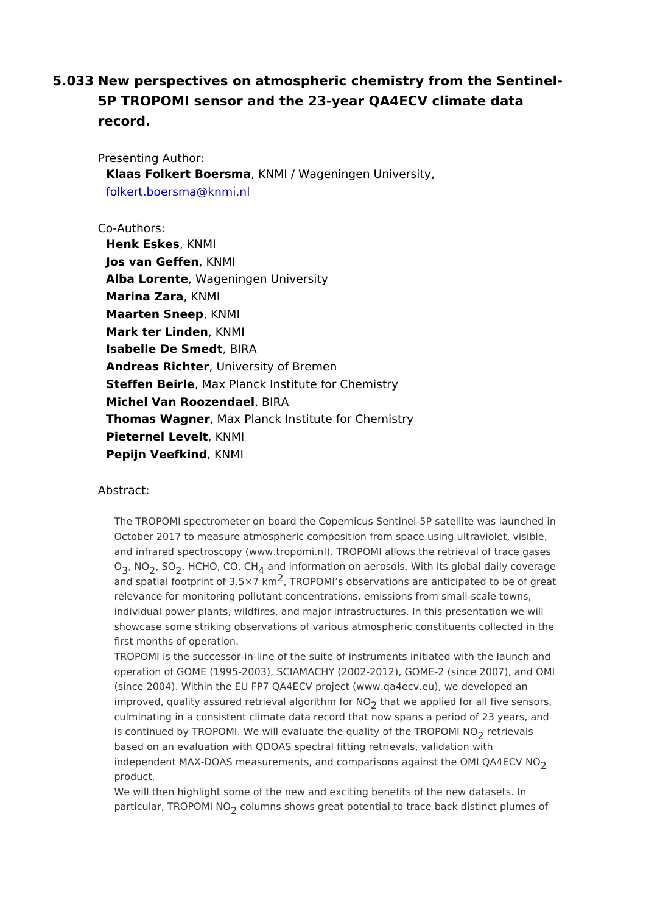5.033 New perspectives on atmospheric chemistry from the Sentine 5P TROPOMI sensor and the 23-year QA4ECV climate data record.

Presenting Author: Klaas Folkert BoerskmNaMI / Wageningen University, folkert.boersma@knmi.nl

## Co-Authors:

[Henk Eskes](mailto:folkert.boersma@knmi.nl) KNMI Jos van Geffekn MI Alba Lorente Vageningen University Marina ZaraKNMI Maarten SneeKNMI Mark ter Linde KNMI Isabelle De SmedtRA Andreas Rich, teurniversity of Bremen Steffen Bei, Meax Planck Institute for Chemistry Michel Van Roozend BeRA Thomas WagneMax Planck Institute for Chemistry Pieternel LeveKtNMI Pepijn VeefkinKdNMI

## Abstract:

The TROPOMI spectrometer on board the Copernicus Sentinel-5P satellite was October 2017 to measure atmospheric composition from space using ultraviolet and infrared spectroscopy (www.tropomi.nl). TROPOMI allows the retrieval of t  $O_3$ , NG, SG, HCHO, C $O_4$ , a Chel information on aerosols. With its global daily covera and spatial footprint of  $\frac{2}{3}$ .  $\frac{1}{3}$  RD R  $\frac{1}{2}$  M I s observations are anticipated to be of gre relevance for monitoring pollutant concentrations, emissions from small-scale individual power plants, wildfires, and major infrastructures. In this presentati showcase some striking observations of various atmospheric constituents colle first months of operation.

TROPOMI is the successor-in-line of the suite of instruments initiated with the operation of GOME (1995-2003), SCIAMACHY (2002-2012), GOME-2 (since 2007 (since 2004). Within the EU FP7 QA4ECV project (www.qa4ecv.eu), we develop improved, quality assured retrieval abgtchrathwneforpt NO ed for all five sensors, culminating in a consistent climate data record that now spans a period of 23 is continued by TROPOMI. We will evaluate the quality edfit energy FROPOMI NO based on an evaluation with QDOAS spectral fitting retrievals, validation with independent MAX-DOAS measurements, and comparisons against the OMI QA4E product.

We will then highlight some of the new and exciting benefits of the new datase particular, TROPOMolN@ns shows great potential to trace back distinct plumes